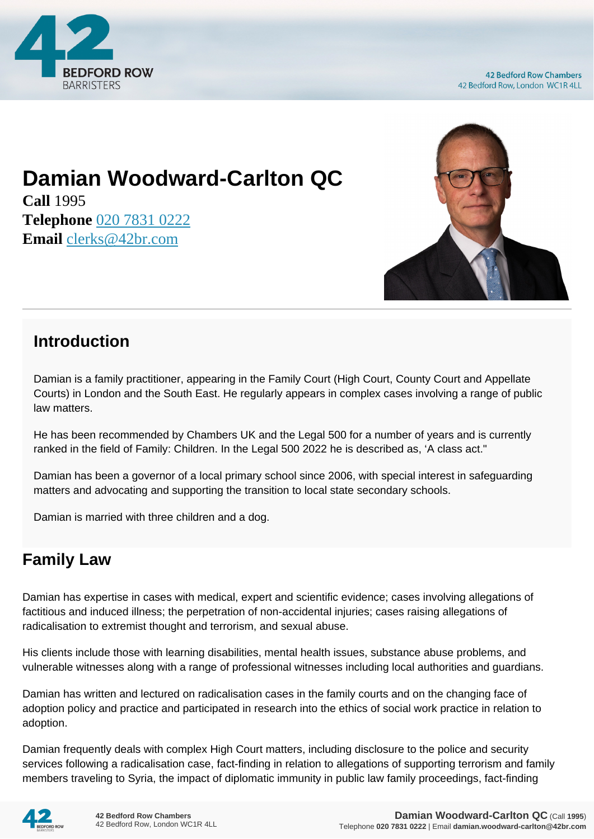

# **Damian Woodward-Carlton QC**

**Call** 1995 **Telephone** [020 7831 0222](https://pdf.codeshore.co/_42br/tel:020 7831 0222) **Email** [clerks@42br.com](mailto:clerks@42br.com)



### **Introduction**

Damian is a family practitioner, appearing in the Family Court (High Court, County Court and Appellate Courts) in London and the South East. He regularly appears in complex cases involving a range of public law matters.

He has been recommended by Chambers UK and the Legal 500 for a number of years and is currently ranked in the field of Family: Children. In the Legal 500 2022 he is described as, 'A class act."

Damian has been a governor of a local primary school since 2006, with special interest in safeguarding matters and advocating and supporting the transition to local state secondary schools.

Damian is married with three children and a dog.

## **Family Law**

Damian has expertise in cases with medical, expert and scientific evidence; cases involving allegations of factitious and induced illness; the perpetration of non-accidental injuries; cases raising allegations of radicalisation to extremist thought and terrorism, and sexual abuse.

His clients include those with learning disabilities, mental health issues, substance abuse problems, and vulnerable witnesses along with a range of professional witnesses including local authorities and guardians.

Damian has written and lectured on radicalisation cases in the family courts and on the changing face of adoption policy and practice and participated in research into the ethics of social work practice in relation to adoption.

Damian frequently deals with complex High Court matters, including disclosure to the police and security services following a radicalisation case, fact-finding in relation to allegations of supporting terrorism and family members traveling to Syria, the impact of diplomatic immunity in public law family proceedings, fact-finding